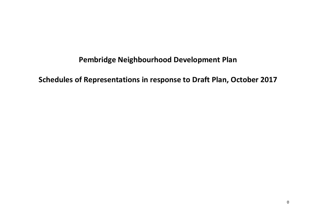## **Pembridge Neighbourhood Development Plan**

**Schedules of Representations in response to Draft Plan, October 2017**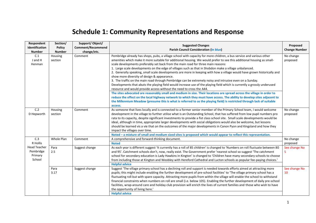## **Schedule 1: Community Representations and Response**

| Respondent<br><b>Identification</b><br><b>Number</b>  | Section/<br><b>Policy</b><br><b>Number</b> | Support/Object/<br><b>Comment/Recommend</b><br>change/etc. | <b>Suggested Changes</b><br><b>Parish Council Consideration (In blue)</b>                                                                                                                                                                                                                                                                                                                                                                                                                                                                                                                                                                                                                                                                                                                                                                                                                                                                                                                                                                                                                                                                                                                                                                                                                                                           | Proposed<br><b>Change Number</b> |
|-------------------------------------------------------|--------------------------------------------|------------------------------------------------------------|-------------------------------------------------------------------------------------------------------------------------------------------------------------------------------------------------------------------------------------------------------------------------------------------------------------------------------------------------------------------------------------------------------------------------------------------------------------------------------------------------------------------------------------------------------------------------------------------------------------------------------------------------------------------------------------------------------------------------------------------------------------------------------------------------------------------------------------------------------------------------------------------------------------------------------------------------------------------------------------------------------------------------------------------------------------------------------------------------------------------------------------------------------------------------------------------------------------------------------------------------------------------------------------------------------------------------------------|----------------------------------|
| C.1<br>J and H<br>Henman                              | Housing<br>section                         | Comment                                                    | Pembridge already has shops, pubs, a village school with capacity for more children, a bus service and various other<br>amenities which make it more suitable for additional housing. We would prefer to see this additional housing as small-<br>scale developments preferably set back from the main road for three main reasons:<br>1. Large scale developments on the edge of villages such as that in Shobdon make a village unbalanced.<br>2. Generally speaking, small scale developments are more in keeping with how a village would have grown historically and<br>show more diversity of design & appearance.<br>3. The traffic on the main road through Pembridge can be extremely noisy and intrusive even on a Sunday.<br>Developments that abuts the playing field would increase use of the playing field which is currently a grossly underused<br>resource and would provide access without the need to cross the A44.<br>The sites advocated are reasonably small and medium in size. Their locations are spread across the village in order to<br>reduce the effect on the local highway network to which they must have access. The ability to develop sites adjacent to<br>the Millennium Meadow (presume this is what is referred to as the playing field) is restricted through lack of suitable<br>access. | No change<br>proposed            |
| C.2<br>D Hepworth                                     | Housing<br>section                         | Comment                                                    | As someone that lives locally and is connected to a former senior member of the Primary School team, I would welcome<br>development in the village to further utilise what is an Outstanding School, that has suffered from low pupil numbers pro<br>rata to its capacity, despite significant investments to provide a fist class school site. Small scale developments would be<br>ideal, although in time, appropriate larger developments with social obligations would also be welcome, but lessons<br>should be learned vis a vie that on the outcomes of the major developments in Canon Pyon and Kingsland and how they<br>impact the villages over time.<br>Noted - a mixture of small and medium sized sites is proposed which would appear to reflect this representation.                                                                                                                                                                                                                                                                                                                                                                                                                                                                                                                                               | No change<br>proposed            |
| C.3<br>R Hollis                                       | Whole Plan                                 | Comment                                                    | A comprehensive and forward-thinking document.<br><b>Noted</b>                                                                                                                                                                                                                                                                                                                                                                                                                                                                                                                                                                                                                                                                                                                                                                                                                                                                                                                                                                                                                                                                                                                                                                                                                                                                      | No change<br>proposed            |
| <b>Head Teacher</b><br>Pembridge<br>Primary<br>School | Para<br>2.5                                | Suggest change                                             | As each year is different suggest 'It currently has a roll of 85 children' is changed to 'Numbers on roll fluctuate between 80<br>and 95'. Catchment schools don't, now, really exist. The Government prefer 'nearest school so suggest 'The catchment<br>school for secondary education is Lady Hawkins in Kington' is changed to 'Children have many secondary schools to choose<br>from including those at Kington and Weobley with Hereford Cathedral and Lucton schools as popular fee-paying choices.'<br><b>Helpful advice</b>                                                                                                                                                                                                                                                                                                                                                                                                                                                                                                                                                                                                                                                                                                                                                                                               | See change No<br>5.              |
|                                                       | Para<br>3.17                               | Suggest change                                             | Suggest 'The village primary school has a declining roll and support is needed towards efforts aimed at attracting more<br>pupils; this might include enabling the further development of pre-school facilities' to 'The village primary school has a<br>fluctuating roll but with spare capacity. Attracting more pupils from within the village will enable the school to withstand<br>financial constraints when numbers on roll are small (i.e. below 105). Enabling the further development of daily pre-school<br>facilities, wrap-around care and holiday club provision will enrich the lives of current families and those who wish to have<br>the opportunity of living here.'<br><b>Helpful advice</b>                                                                                                                                                                                                                                                                                                                                                                                                                                                                                                                                                                                                                   | See change No<br>10              |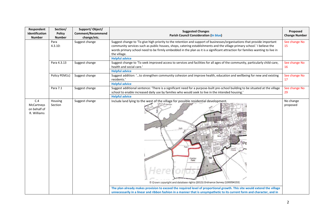| Respondent<br>Identification<br><b>Number</b>    | Section/<br><b>Policy</b><br><b>Number</b> | Support/Object/<br><b>Comment/Recommend</b><br>change/etc. | <b>Suggested Changes</b><br><b>Parish Council Consideration (In blue)</b>                                                                                                                                                                                                                                                                                                                                                                | Proposed<br><b>Change Number</b> |
|--------------------------------------------------|--------------------------------------------|------------------------------------------------------------|------------------------------------------------------------------------------------------------------------------------------------------------------------------------------------------------------------------------------------------------------------------------------------------------------------------------------------------------------------------------------------------------------------------------------------------|----------------------------------|
|                                                  | Para<br>4.3.10:                            | Suggest change                                             | Suggest change to 'To give high priority to the retention and support of businesses/organisations that provide important<br>community services such as public houses, shops, catering establishments and the village primary school.' I believe the<br>words primary school need to be firmly embedded in the plan as it is a significant attraction for families wanting to live in<br>the village.<br><b>Helpful advice</b>            | See change No<br>15              |
|                                                  | Para 4.3.13                                | Suggest change                                             | Suggest change to 'To seek improved access to services and facilities for all ages of the community, particularly child-care,<br>health and social care.'<br><b>Helpful advice</b>                                                                                                                                                                                                                                                       | See change No<br>16              |
|                                                  | Policy PEM1c)                              | Suggest change                                             | Suggest addition: 'to strengthen community cohesion and improve health, education and wellbeing for new and existing<br>residents.'<br><b>Helpful advice</b>                                                                                                                                                                                                                                                                             | See change No<br>17              |
|                                                  | Para 7.1                                   | Suggest change                                             | Suggest additional sentence: 'There is a significant need for a purpose-built pre-school building to be situated at the village<br>school to enable increased daily use by families who would seek to live in the intended housing.'<br><b>Helpful advice</b>                                                                                                                                                                            | See change No<br>29              |
| C.4<br>McCartneys<br>on behalf of<br>R. Williams | Housing<br>Section                         | Suggest change                                             | Include land lying to the west of the village for possible residential development.<br>Manley<br>Field<br>Crown copyright and database rights (2015) Ordnance Survey (100054153)<br>The plan already makes provision to exceed the required level of proportional growth. This site would extend the village<br>unnecessarily in a linear and ribbon fashion in a manner that is unsympathetic to its current form and character, and in | No change<br>proposed            |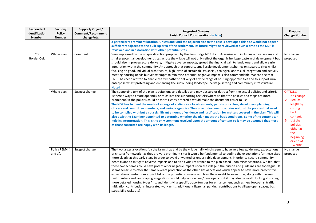| Respondent<br>Identification<br><b>Number</b> | Section/<br><b>Policy</b><br><b>Number</b> | Support/Object/<br><b>Comment/Recommend</b><br>change/etc. | <b>Suggested Changes</b><br><b>Parish Council Consideration (In blue)</b>                                                                                                                                                                                                                                                                                                                                                                                                                                                                                                                                                                                                                                                                                                                                                                                                                                                                                                                                                                                                                                                                                                                                                                                                                                        | Proposed<br><b>Change Number</b>                                                                                                                          |
|-----------------------------------------------|--------------------------------------------|------------------------------------------------------------|------------------------------------------------------------------------------------------------------------------------------------------------------------------------------------------------------------------------------------------------------------------------------------------------------------------------------------------------------------------------------------------------------------------------------------------------------------------------------------------------------------------------------------------------------------------------------------------------------------------------------------------------------------------------------------------------------------------------------------------------------------------------------------------------------------------------------------------------------------------------------------------------------------------------------------------------------------------------------------------------------------------------------------------------------------------------------------------------------------------------------------------------------------------------------------------------------------------------------------------------------------------------------------------------------------------|-----------------------------------------------------------------------------------------------------------------------------------------------------------|
|                                               |                                            |                                                            | a particularly prominent location. Unless and until the adjacent site to the east is developed this site would not appear<br>sufficiently adjacent to the built-up area of the settlement. Its future might be reviewed at such a time as the NDP is<br>reviewed and in association with other potential sites.                                                                                                                                                                                                                                                                                                                                                                                                                                                                                                                                                                                                                                                                                                                                                                                                                                                                                                                                                                                                  |                                                                                                                                                           |
| C.5<br>Border Oak                             | Whole Plan<br>Whole plan                   | Comment<br>Suggest change                                  | Very impressed by the unique direction proposed by the Pembridge NDP draft. Assessing and including a diverse range of<br>smaller potential development sites across the village will not only reflect the organic heritage pattern of development but<br>should also improve/secure delivery, mitigate adverse impacts, spread the financial gain to landowners and allow easier<br>integration within the community. An approach that supports small scale development schemes on separate sites whilst<br>focusing on good, individual architecture, high levels of sustainability, social, ecological and visual integration and actively<br>meeting housing needs but yet attempts to minimise potential negative impact is also commendable. We can see that<br>PNDP has been written to enable the sympathetic delivery of a wide range of housing opportunities and to support rural<br>enterprise whilst protecting and enhancing the surrounding landscape, heritage setting and community infrastructure.<br><b>Noted</b><br>The supporting text of the plan is quite long and detailed and may obscure or detract from the actual policies and criteria.                                                                                                                                             | No change<br>proposed<br><b>OPTIONS</b>                                                                                                                   |
|                                               |                                            |                                                            | Is there a way to create appendix or to collate the supporting text elsewhere so that the policies and maps are more<br>prominent? If the policies could be more clearly ordered it would make the document easier to use.<br>The NDP has to meet the needs of a range of audiences - local residents, parish councillors, developers, planning<br>officers and committee members, and various agencies. The current document contains not just the policies that need<br>to be complied with but also a significant amount of evidence and justification for matters covered in the plan. This will<br>also assist the Examiner appointed to determine whether the plan meets the basic conditions. Some of the content can<br>help its interpretation. This is the only comment received upon the amount of content so it may be assumed that most<br>of those consulted are happy with its length.                                                                                                                                                                                                                                                                                                                                                                                                            | 1. No change<br>2. Reduce<br>length by<br>cutting<br>back<br>content.<br>3. List the<br>policies<br>either at<br>the<br>beginning<br>or end of<br>the NDP |
|                                               | Policy PEM4 i)<br>and vi).                 | Suggest change                                             | The two larger allocations (by the farm shop and by the village hall) which seem to have very few guidelines, expectations<br>or criteria framework - as they are very prominent sites it would be fundamental to outline the expectations for these sites<br>more clearly at this early stage in order to avoid unwanted or undesirable development, in order to secure community<br>benefits and to mitigate adverse impacts and to also avoid resistance to the plan based upon misconceptions. We feel that<br>these two schemes could have potential for negative impact upon the village if the criteria and guidelines are too vague. It<br>seems sensible to offer the same level of protection as the other site allocations which appear to have more prescriptive<br>expectations. Perhaps an explicit list of the potential concerns and how these might be overcome, along with maximum<br>unit numbers and landscaping suggestions would help landowners/developers. But it may also be worth looking at stating<br>more detailed housing types/mix and identifying specific opportunities for enhancement such as new footpaths, traffic<br>mitigation contributions, integrated work units, additional village hall parking, contributions to village open spaces, bus<br>stops, bike racks etc? | No change<br>proposed                                                                                                                                     |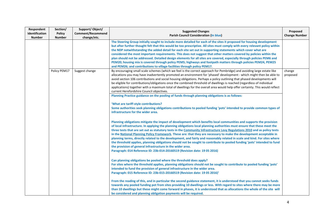| Respondent<br>Identification<br><b>Number</b> | Section/<br><b>Policy</b><br><b>Number</b> | Support/Object/<br><b>Comment/Recommend</b><br>change/etc. | <b>Suggested Changes</b><br><b>Parish Council Consideration (In blue)</b>                                                                                                                                                                                                                                                                                                                                                                                                                                                                                                                                                                                                                                                                                                                                                                                                                                                                                                                                                                                                                                                                                                                                                                                                                                                                                                                                                                                                                                                                                                                                                                                                                                                                                                                                                                                                                                 | Proposed<br><b>Change Number</b> |
|-----------------------------------------------|--------------------------------------------|------------------------------------------------------------|-----------------------------------------------------------------------------------------------------------------------------------------------------------------------------------------------------------------------------------------------------------------------------------------------------------------------------------------------------------------------------------------------------------------------------------------------------------------------------------------------------------------------------------------------------------------------------------------------------------------------------------------------------------------------------------------------------------------------------------------------------------------------------------------------------------------------------------------------------------------------------------------------------------------------------------------------------------------------------------------------------------------------------------------------------------------------------------------------------------------------------------------------------------------------------------------------------------------------------------------------------------------------------------------------------------------------------------------------------------------------------------------------------------------------------------------------------------------------------------------------------------------------------------------------------------------------------------------------------------------------------------------------------------------------------------------------------------------------------------------------------------------------------------------------------------------------------------------------------------------------------------------------------------|----------------------------------|
|                                               |                                            |                                                            | The Steering Group initially sought to include more detailed for each of the sites it proposed for housing development<br>but after further thought felt that this would be too prescriptive. All sites must comply with every relevant policy within<br>the NDP notwithstanding the added detail for each site set out in supporting statements which cover what are<br>considered the most important requirements. This does not suggest that other matters covered by policies within the<br>plan should not be addressed. Detailed design elements for all sites are covered, especially through policies PEM6 and<br>PEM20; housing mix is covered through policy PEM5; highways and footpath matters through policies PEM24, PEM25<br>and PEM26; and contributions to village facilities through policy PEM17.                                                                                                                                                                                                                                                                                                                                                                                                                                                                                                                                                                                                                                                                                                                                                                                                                                                                                                                                                                                                                                                                                      |                                  |
|                                               | Policy PEM17                               | Suggest change                                             | By encouraging small scale schemes (which we feel is the correct approach for Pembridge) and avoiding large estate like<br>allocations you may have inadvertently promoted an environment for 'phased' development - which might then be able to<br>avoid section 106 contributions and social housing obligations. Perhaps a policy outlining that phased developments will<br>be eligible for contributions/obligations once the combined threshold of dwellings is reached (regardless of individual<br>applications) together with a maximum total of dwellings for the overall area would help offer certainty. This would reflect<br>current Herefordshire Council objectives.<br>Planning Practice guidance on the pooling of funds through planning obligations is as follows:<br>'What are tariff-style contributions?<br>Some authorities seek planning obligations contributions to pooled funding 'pots' intended to provide common types of<br>infrastructure for the wider area.<br>Planning obligations mitigate the impact of development which benefits local communities and supports the provision<br>of local infrastructure. In applying the planning obligations local planning authorities must ensure that these meet the<br>three tests that are set out as statutory tests in the Community Infrastructure Levy Regulations 2010 and as policy tests<br>in the National Planning Policy Framework. These are: that they are necessary to make the development acceptable in<br>planning terms, directly related to the development, and fairly and reasonably related in scale and kind. For sites where<br>the threshold applies, planning obligations should not be sought to contribute to pooled funding 'pots' intended to fund<br>the provision of general infrastructure in the wider area.<br>Paragraph: 014 Reference ID: 23b-014-20160519 (Revision date: 19 05 2016) | change<br>proposed               |
|                                               |                                            |                                                            | Can planning obligations be pooled where the threshold does apply?<br>For sites where the threshold applies, planning obligations should not be sought to contribute to pooled funding 'pots'<br>intended to fund the provision of general infrastructure in the wider area.<br>Paragraph: 015 Reference ID: 23b-015-20160519 (Revision date: 19 05 2016)'<br>From the reading of this, and in particular the second guidance statement, it is understood that you cannot seeks funds<br>towards any pooled funding pot from sites providing 10 dwellings or less. With regard to sites where there may be more<br>than 10 dwellings but these might come forward in phases, it is understood that as allocations the whole of the site will<br>be considered and planning obligation payments will be required.                                                                                                                                                                                                                                                                                                                                                                                                                                                                                                                                                                                                                                                                                                                                                                                                                                                                                                                                                                                                                                                                                          |                                  |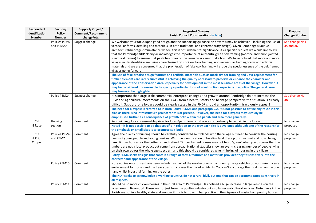| Respondent<br>Identification<br><b>Number</b> | Section/<br><b>Policy</b><br><b>Number</b> | Support/Object/<br><b>Comment/Recommend</b><br>change/etc. | <b>Suggested Changes</b><br><b>Parish Council Consideration (In blue)</b>                                                                                                                                                                                                                                                                                                                                                                                                                                                                                                                                                                                                                                                                                                                                                                                                                                                                                                                                                                     | Proposed<br><b>Change Number</b> |
|-----------------------------------------------|--------------------------------------------|------------------------------------------------------------|-----------------------------------------------------------------------------------------------------------------------------------------------------------------------------------------------------------------------------------------------------------------------------------------------------------------------------------------------------------------------------------------------------------------------------------------------------------------------------------------------------------------------------------------------------------------------------------------------------------------------------------------------------------------------------------------------------------------------------------------------------------------------------------------------------------------------------------------------------------------------------------------------------------------------------------------------------------------------------------------------------------------------------------------------|----------------------------------|
|                                               | Policies PEM6<br>and PEM20                 | Suggest change                                             | We welcome your focus upon good design and the supporting guidance on how this may be achieved - including the use of<br>vernacular forms, detailing and materials (in both traditional and contemporary design). Given Pembridge's unique<br>architectural/heritage circumstance we feel this is of fundamental significance. As a specific request we would like to ask<br>that the Pembridge NDP clearly acknowledges the importance of authentic green oak framing (mortice and tenon jointed<br>structural frames) to ensure that pastiche copies of the vernacular cannot take hold. We have noticed that more and more<br>villages in Herefordshire are being characterised by 'stick on' faux framing, non-vernacular framing forms and artificial<br>materials and we are concerned that the proliferation of fake oak framing will erode the special essence of the oak framed<br>villages going forward.<br>The use of fake or false design features and artificial materials such as mock-timber framing and upvc replacement for | See change Nos<br>35 and 36      |
|                                               |                                            |                                                            | timber elements are rarely successful in achieving the quality necessary to preserve or enhance the character and<br>appearance of the Conservation Area, especially for development in the most sensitive areas of the village. However, it<br>may be considered unreasonable to specify a particular form of construction, especially in a policy. The general issue<br>may however be highlighted.                                                                                                                                                                                                                                                                                                                                                                                                                                                                                                                                                                                                                                         |                                  |
|                                               | Policy PEM24                               | Suggest change                                             | It is important that large scale commercial enterprise changes and growth around Pembridge do not increase the<br>HGV and agricultural movements on the A44 - from a health, safety and heritage perspective the situation is already<br>difficult. Support for a bypass could be clearly stated in the PNDP should an opportunity miraculously appear!<br>The need for a bypass is referred to in both Policy PEM24 and paragraph 9.2. It is not possible to define any route in this<br>plan as there is no infrastructure project for this at present. However, the need for a bypass may usefully be<br>emphasised further as a consequence of growth both within the parish and area more generally.                                                                                                                                                                                                                                                                                                                                     | See change No<br>38              |
| C.6<br><b>B</b> Rose                          | Housing<br>section                         | Comment                                                    | Self-building plots at reasonable prices for locals/parishioners to have an opportunity to remain in the locale.<br>Noted - it is not possible to be that specific in relation to the way each site is developed although one of the reasons for<br>the emphasis on small sites is to promote self-build.                                                                                                                                                                                                                                                                                                                                                                                                                                                                                                                                                                                                                                                                                                                                     | No change<br>proposed            |
| C.7<br>A Prior<br>Cooper                      | Policies PEM6<br>and PEM7                  | Comment                                                    | Agree the quality of building should be carefully considered so it blends with the village but need to consider the housing<br>needs of young people and young families. With the identification of building land these plots must not end up all being<br>faux. timber houses for the better off and retired. Timber framed houses may not be so 'green' when you discover that the<br>timbers are not a local product but come from abroad. National statistics show an ever-increasing number of people living<br>on their own across the whole age spectrum and this should be considered when thinking of housing in the village.<br>Policy PEM6 seeks designs that contain a range of forms, features and materials provided they fit sensitively into the<br>character and appearance of the village.                                                                                                                                                                                                                                  | No change<br>proposed            |
|                                               | Policy PEM10                               | Comment                                                    | Note equine enterprises have been included as part of the rural economic community. Large vehicles do not make it a safe<br>environment for horses and the heavy traffic increases the risk of accidents. You can't encourage the rural idyll on the one<br>hand whilst industrial farming on the other.<br>The NDP seeks to acknowledge a working countryside not a rural idyll, but one that can be accommodated sensitively in<br>all respects.                                                                                                                                                                                                                                                                                                                                                                                                                                                                                                                                                                                            | No change<br>proposed            |
|                                               | Policy PEM11                               | Comment                                                    | Should be no more chicken houses in the rural area of Pembridge. Has noticed a huge increase in large vehicles on the<br>lanes around Bearwood. These are not just from the poultry industry but also larger agricultural vehicles. Note rivers in the<br>Parish are not in a healthy state and wonder if this is to do with bad practice in the disposal of waste from poultry houses                                                                                                                                                                                                                                                                                                                                                                                                                                                                                                                                                                                                                                                        | No change<br>proposed            |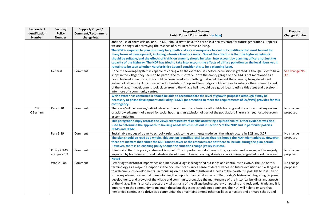| Respondent<br>Identification<br><b>Number</b> | Section/<br><b>Policy</b><br><b>Number</b> | Support/Object/<br><b>Comment/Recommend</b><br>change/etc. | <b>Suggested Changes</b><br><b>Parish Council Consideration (In blue)</b>                                                                                                                                                                                                                                                                                                                                                                                                                                                                                                                                                                                                                                                                                                                                                                                                                                                                                                                                                                                                                                                                                                                                                                                                                                                                                                                                                                 | Proposed<br><b>Change Number</b> |
|-----------------------------------------------|--------------------------------------------|------------------------------------------------------------|-------------------------------------------------------------------------------------------------------------------------------------------------------------------------------------------------------------------------------------------------------------------------------------------------------------------------------------------------------------------------------------------------------------------------------------------------------------------------------------------------------------------------------------------------------------------------------------------------------------------------------------------------------------------------------------------------------------------------------------------------------------------------------------------------------------------------------------------------------------------------------------------------------------------------------------------------------------------------------------------------------------------------------------------------------------------------------------------------------------------------------------------------------------------------------------------------------------------------------------------------------------------------------------------------------------------------------------------------------------------------------------------------------------------------------------------|----------------------------------|
|                                               | General                                    | Comment                                                    | and the use of chemicals on land. Th NDP should try to have the parish in a healthy state for future generations. Appears<br>we are in danger of destroying the essence of rural Herefordshire living.<br>The NDP is required to plan positively for growth and as a consequence has set out conditions that must be met for<br>many forms of development, including intensive livestock units. One of the criterion is that the highway network<br>should be suitable, and the effects of traffic on amenity should be taken into account by planning officers not just the<br>capacity of the highway. The NDP has tried to take into account the effects of diffuse pollution on the local rivers yet it<br>remains to be seen whether Herefordshire Council consider this to be a planning issue.<br>Hope the sewerage system is capable of coping with the extra houses before permission is granted. Although lucky to have<br>shops in the village they seem to be part of the tourist trade. Note the empty garage on the A44 is not mentioned as a<br>possible development site. This could be considered as something that would benefit the village by being developed<br>instead of left empty. Am impressed with Eardisland Shop and Pembridge could do more to enhance the community feel<br>of the village. If development took place around the village hall it would be a good idea to utilise this asset and develop it | See change No<br>37              |
|                                               |                                            |                                                            | into more of a community centre.<br>Welsh Water has confirmed it should be able to accommodate the level of growth proposed although it may be<br>necessary to phase development and Policy PEM22 (as amended to meet the requirements of DC/WW) provides for this<br>contingency.                                                                                                                                                                                                                                                                                                                                                                                                                                                                                                                                                                                                                                                                                                                                                                                                                                                                                                                                                                                                                                                                                                                                                        |                                  |
| C.8<br>C Basham                               | Para 3.10                                  | Comment                                                    | There are/will be families/individuals who do not meet the criteria for affordable housing and the omission of any review<br>or acknowledgement of a need for social housing is an exclusion of part of the population. There is a need for 1-bedroom<br>accommodation.<br>This paragraph simply records the views expressed by residents answering a questionnaire. Other evidence was also<br>used to determine the approach to housing needs which is set out in section 5 of the NDP and in particular policies<br>PEM5 and PEM7.                                                                                                                                                                                                                                                                                                                                                                                                                                                                                                                                                                                                                                                                                                                                                                                                                                                                                                     | No change<br>proposed            |
|                                               | Para 3.29                                  | Comment                                                    | Sustainable modes of travel to school - refer back to the comments made i.e. the infrastructure in 3.28 and 3.27<br>The plan should be read as a whole. This section identifies local issues that it is hoped the NDP might address. However,<br>there are matters that either the NDP cannot cover or the resources are not there to include during the plan period.<br>However, there is an enabling policy should the situation change (Policy PEM24).                                                                                                                                                                                                                                                                                                                                                                                                                                                                                                                                                                                                                                                                                                                                                                                                                                                                                                                                                                                 | No change<br>proposed            |
|                                               | Policy PEM3<br>and para 5.9                | Comment                                                    | It feels vital that this policy statement is upheld. The importance of drainage both grey water and sewage, will be majorly<br>impacted by both domestic and industrial development. Heavy flooding already occurs in non-designated flood risk areas.<br><b>Noted</b>                                                                                                                                                                                                                                                                                                                                                                                                                                                                                                                                                                                                                                                                                                                                                                                                                                                                                                                                                                                                                                                                                                                                                                    | No change<br>proposed            |
|                                               | Whole Plan                                 | Comment                                                    | Pembridge's historical importance as a medieval village is recognised but it has and continues to evolve. The use of this<br>terminology as a major description in the document can carry a sense of defensiveness to future evolution and willingness<br>to welcome such developments. In focussing on the breadth of historical aspects of the parish it is possible to lose site of<br>some key elements essential to maintaining the important and vital aspects of Pembridge's history in integrating proposed<br>developments and growth of the village and community alongside the maintenance of the historical buildings and aspects<br>of the village. The historical aspects are vital as many of the village businesses rely on passing and residential trade and it is<br>important to the community to maintain these but this aspect should not dominate. The NDP will help to ensure that<br>Pembridge continues to thrive as a community, that maintains among other facilities, a nursery and primary school, and                                                                                                                                                                                                                                                                                                                                                                                                       | No change<br>proposed            |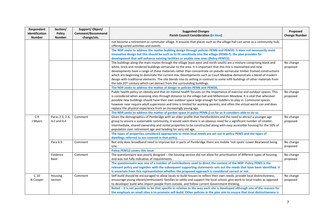| Respondent<br>Identification<br><b>Number</b> | Section/<br><b>Policy</b><br><b>Number</b> | Support/Object/<br><b>Comment/Recommend</b><br>change/etc. | <b>Suggested Changes</b><br><b>Parish Council Consideration (In blue)</b>                                                                                                                                                                                                                                                                                                                                                                                                                                                                                                                                                                                               | Proposed<br><b>Change Number</b> |
|-----------------------------------------------|--------------------------------------------|------------------------------------------------------------|-------------------------------------------------------------------------------------------------------------------------------------------------------------------------------------------------------------------------------------------------------------------------------------------------------------------------------------------------------------------------------------------------------------------------------------------------------------------------------------------------------------------------------------------------------------------------------------------------------------------------------------------------------------------------|----------------------------------|
|                                               |                                            |                                                            | not become a retirement or commuter village. It ensures that places such as the village hall can serve as a community hub,<br>offering varied activities and events.<br>The NDP seeks to address the matter building design through policies PEM6 and PEM20. It does not necessarily resist<br>innovative design but this should be such as to fit sensitively into the village (PEM6-f). the plan provides for                                                                                                                                                                                                                                                         |                                  |
|                                               |                                            |                                                            | development that will enhance existing facilities or enable new ones (Policy PEM15).<br>The buildings along the main routes through the village (east-west and north-south) are a mixture comprising black and<br>white, brick and rendered buildings vernacular to the area. It is important that this mix is maintained and new<br>developments have a range of these materials rather than concentrate on pseudo vernacular timber framed constructions<br>which are beginning to dominate the current mix. Developments such as Court Meadow demonstrate a blend of modern                                                                                          | No change<br>proposed            |
|                                               |                                            |                                                            | design with traditional elements. The site blends into its setting in contrast to some infill buildings of other materials from<br>the late 20 <sup>th</sup> century which can detract from the surrounding buildings.<br>The NDP seeks to address the matter of design in policies PEM6 and PEM20,                                                                                                                                                                                                                                                                                                                                                                     |                                  |
|                                               |                                            |                                                            | Public health policy on obesity and that on mental health focuses on the importance of exercise and outdoor spaces. This<br>is considered when assessing sites through distance to the village hall and Millennium Meadow. It is vital that wherever<br>possible new buildings should have their own outdoor space large enough for toddlers to play in. Communal spaces<br>however near require adult supervision and time is limited for working parents, and often the virtual world can and does<br>replace the physical experience from an increasingly young age.                                                                                                 | No change<br>proposed            |
| C.9<br>J Myers                                | Paras 2.3, 2.4,<br>4.2 and 4.4             | Comment                                                    | The NDP seeks to address the matter of garden space in policy PEM6 j) so far as it considers able to do so.<br>Given the demographics of Pembridge with an older profile that Herefordshire and the need to attract a younger age<br>group to ensure a sustainable community, it would seem there is an obvious need for a significant number of smaller,<br>intermediate, shared ownership and rental properties to be constructed along with easy accessible housing for the 50% of<br>population over retirement age and heading for very old age.<br>The types of properties considered appropriate to meet local needs are set out in policy PEM5 and the types of | No change<br>proposed            |
|                                               | Para 6.9                                   | Comment                                                    | dwellings referred to are covered in that policy.<br>Not only does broadband need to improve but in parts of Pembridge there are mobile 'not-spots' Lower Bearwood being<br>one.<br><b>Policy PEM12 covers this issue</b>                                                                                                                                                                                                                                                                                                                                                                                                                                               | No change<br>proposed            |
|                                               | Evidence<br>Base                           | Comment                                                    | The questionnaire was poorly designed - the housing section did not allow for prioritisation of different types of housing<br>and was not fully indicative of requirements.<br>The questionnaire was one of a number of contributions used to direct the content of the NDP. Policy PEM5 is the<br>relevant policy and together with the subsequent supporting statements sets out the needs that have been identified. It<br>is uncertain from this representation whether the proposed approach is considered correct or not.                                                                                                                                         | No change<br>proposed            |
| C.10<br>N Cooper                              | Housing<br>section                         | Comment                                                    | Self-build should be encouraged to allow locals to build houses to reflect their own needs, provide local distinctiveness,<br>encourage young vibrant/enthusiastic families to settle and support the local school, give work to local trades as opposed<br>to developer build who import people from outside, and follow current Government thinking.<br>Noted - it is not possible to be that specific in relation to the way each site is developed although one of the reasons for<br>the emphasis on small sites is to promote self-build. Other policies in the plan aim to ensure that local distinctiveness is                                                  | No change<br>proposed            |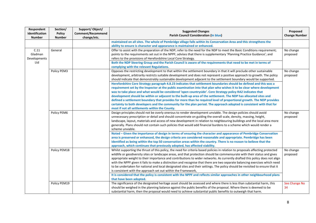| Respondent<br>Identification<br><b>Number</b> | Section/<br><b>Policy</b><br><b>Number</b> | Support/Object/<br>Comment/Recommend<br>change/etc. | <b>Suggested Changes</b><br><b>Parish Council Consideration (In blue)</b>                                                                                                                                                                                                                                                                                                                                                                                                                                                                                                                                                                                                                                                                                                                                                                                                                                                                                                                                                                                                                                                                                 | Proposed<br><b>Change Number</b> |
|-----------------------------------------------|--------------------------------------------|-----------------------------------------------------|-----------------------------------------------------------------------------------------------------------------------------------------------------------------------------------------------------------------------------------------------------------------------------------------------------------------------------------------------------------------------------------------------------------------------------------------------------------------------------------------------------------------------------------------------------------------------------------------------------------------------------------------------------------------------------------------------------------------------------------------------------------------------------------------------------------------------------------------------------------------------------------------------------------------------------------------------------------------------------------------------------------------------------------------------------------------------------------------------------------------------------------------------------------|----------------------------------|
|                                               |                                            |                                                     | maintained on all sites. The whole of Pembridge village falls within its Conservation Area and this strengthens the<br>ability to ensure is character and appearance is maintained or enhanced.                                                                                                                                                                                                                                                                                                                                                                                                                                                                                                                                                                                                                                                                                                                                                                                                                                                                                                                                                           |                                  |
| C.11<br>Gladman<br>Developments<br>Ltd        | General                                    |                                                     | Offer to assist with the preparation of the NDP; refer to the need for the NDP to meet the Basic Conditions requirement;<br>points to the requirements set out in the NPPF; advises that there is supplementary 'Planning Practice Guidance'; and<br>refers to the provisions of Herefordshire Local Core Strategy.<br>Both the NDP Steering Group and the Parish Council is aware of the requirements that need to be met in terms of<br>complying with the relevant Regulations.                                                                                                                                                                                                                                                                                                                                                                                                                                                                                                                                                                                                                                                                        | No change<br>proposed            |
|                                               | Policy PEM3                                |                                                     | Opposes the restricting development to that within the settlement boundary in that it will preclude other sustainable<br>development, arbitrarily restricts suitable development and does not represent a positive approach to growth. The policy<br>should indicate that demonstrably sustainable development adjacent to the settlement boundary would be supported.<br>Herefordshire Core Strategy paragraph 4.8.23 indicates that settlement boundaries should be defined and this was a<br>requirement set by the Inspector at the public examination into that plan who wishes it to be clear where development<br>was to take place and what would be considered 'open countryside'. Core Strategy policy RA2 indicates that<br>development should be within or adjacent to the built-up area of the settlement. The NDP has allocated sites and<br>defined a settlement boundary that provides for more than he required level of proportional growth. The NDP provides<br>certainty to both developers and the community for the plan period. The approach adopted is consistent with that for<br>most if not all settlements within the County. | No change<br>proposed            |
|                                               | Policy PEM6                                |                                                     | Design principles should not be overly onerous to render development unviable. The design policies should avoid<br>unnecessary prescription or detail and should concentrate on guiding the overall scale, density, massing, height,<br>landscape, layout, materials and access of new development in relation to neighbouring buildings and the local area more<br>generally. Plans should not contain such policies that would add financial burdens to a scheme which would render a<br>scheme unviable.<br>Noted - Given the importance of design in terms of ensuring the character and appearance of Pembridge Conservation<br>area is preserved or enhanced, the design criteria are considered reasonable and appropriate. Pembridge has been<br>identified as being within the top 50 conservation areas within the country. There is no reason to believe that the<br>approach, which continues that previously adopted, has affected viability.                                                                                                                                                                                                | No change<br>proposed            |
|                                               | Policy PEM18                               |                                                     | Whilst supporting the thrust of this policy, the need for criteria based policies in relation to proposals affecting protected<br>wildlife or geodiversity sites or landscape areas, and that protection should be commensurate with their status and gives<br>appropriate weight to their importance and contributions to wider networks. As currently drafted this policy does not align<br>with the NPPF given it fails to make a distinction and recognise that there are two separate balancing exercises which need<br>to be undertaken for national and local designated sites and their settings. The policy should be revisited to ensure that it<br>is consistent with the approach set out within the Framework,<br>It is considered that the policy is consistent with the NPPF and reflects similar approaches in other neighbourhood plans<br>that have been adopted.                                                                                                                                                                                                                                                                       | No change<br>proposed            |
|                                               | Policy PEM19                               |                                                     | The significance of the designated heritage asset should be assessed and where there is less than substantial harm, this<br>should be weighed in the planning balance against the public benefits of the proposal. Where there is deemed to be<br>substantial harm, then the proposal would need to achieve substantial public benefits to outweigh that harm.                                                                                                                                                                                                                                                                                                                                                                                                                                                                                                                                                                                                                                                                                                                                                                                            | See Change No<br>34              |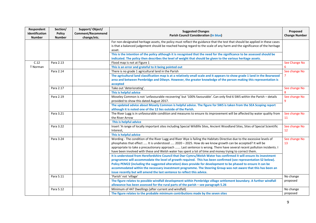| Respondent<br>Identification<br><b>Number</b> | Section/<br><b>Policy</b><br><b>Number</b> | Support/Object/<br>Comment/Recommend<br>change/etc. | <b>Suggested Changes</b><br><b>Parish Council Consideration (In blue)</b>                                                                                                                                                                                                                                                                                                                                                                                                                                                                                                                                                                                                                                                                                                                                                                                                                                                                                                                                                          | Proposed<br><b>Change Number</b> |
|-----------------------------------------------|--------------------------------------------|-----------------------------------------------------|------------------------------------------------------------------------------------------------------------------------------------------------------------------------------------------------------------------------------------------------------------------------------------------------------------------------------------------------------------------------------------------------------------------------------------------------------------------------------------------------------------------------------------------------------------------------------------------------------------------------------------------------------------------------------------------------------------------------------------------------------------------------------------------------------------------------------------------------------------------------------------------------------------------------------------------------------------------------------------------------------------------------------------|----------------------------------|
|                                               |                                            |                                                     | For non-designated heritage assets, the policy must reflect the guidance that the test that should be applied in these cases<br>is that a balanced judgement should be reached having regard to the scale of any harm and the significance of the heritage<br>asset.                                                                                                                                                                                                                                                                                                                                                                                                                                                                                                                                                                                                                                                                                                                                                               |                                  |
|                                               |                                            |                                                     | This is the intention of the policy although it is recognised that the need for the significance to be assessed should be<br>indicated. The policy then describes the level of weight that should be given to the various heritage assets.                                                                                                                                                                                                                                                                                                                                                                                                                                                                                                                                                                                                                                                                                                                                                                                         |                                  |
| C.12<br>T Norman                              | Para 2.13                                  |                                                     | Flood map is not at Figure 1<br>This is an error and grateful to it being pointed out                                                                                                                                                                                                                                                                                                                                                                                                                                                                                                                                                                                                                                                                                                                                                                                                                                                                                                                                              | See Change No                    |
|                                               | Para 2.14                                  |                                                     | There is no grade 1 agricultural land in the Parish<br>The agricultural land classification map is at a relatively small scale and it appears to show grade 1 land in the Bearwood<br>area and between Pembridge and Dilwyn. However, the greater knowledge of the person making this representation is<br>accepted                                                                                                                                                                                                                                                                                                                                                                                                                                                                                                                                                                                                                                                                                                                | See change No                    |
|                                               | Para 2.17                                  |                                                     | Take out 'deteriorating'.<br>This is helpful advice                                                                                                                                                                                                                                                                                                                                                                                                                                                                                                                                                                                                                                                                                                                                                                                                                                                                                                                                                                                | See change No<br>8               |
|                                               | Para 2.19                                  |                                                     | Moseley Common is not 'unfavourable recovering' but '100% favourable'. Can only find 6 SWS within the Parish - details<br>provided to show this dated August 2017.<br>The updated advice about Mosely Common is helpful advice. The figure for SWS is taken from the SEA Scoping report<br>although it is noted one of the 12 lies outside of the Parish.                                                                                                                                                                                                                                                                                                                                                                                                                                                                                                                                                                                                                                                                          | See change No<br>9               |
|                                               | Para 3.21                                  |                                                     | The River Lugg is in unfavourable condition and measures to ensure its improvement will be affected by water quality from<br>the River Arrow<br>This is helpful advice                                                                                                                                                                                                                                                                                                                                                                                                                                                                                                                                                                                                                                                                                                                                                                                                                                                             | See change No<br>11              |
|                                               | Para 3.22                                  |                                                     | Insert 'A range of locally important sites including Special Wildlife Sites, Ancient Woodland Sites, Sites of Special Scientific<br>Interest,<br>This is helpful advice                                                                                                                                                                                                                                                                                                                                                                                                                                                                                                                                                                                                                                                                                                                                                                                                                                                            | See change No<br>12              |
|                                               | Para 3.24                                  |                                                     | Wording - The condition of the River Lugg and River Wye is failing the Habitats Directive due to the excessive levels of<br>phosphates that effect  It is understood  2020 - 2025. How do we know growth can be accepted? It will be<br>appropriate to take a precautionary approach  Last sentence is wrong. There have several recent pollution incidents. I<br>have been involved with these and Welsh water has spent a lot of time and money trying to correct them.<br>It is understood from Herefordshire Council that Dwr Cymru/Welsh Water has confirmed it will ensure its investment<br>programme will accommodate the level of growth required. This has been confirmed (see representation S2 below).<br>Policy PEM22 (including the suggested alteration) does provide for development to be phased to ensure it can be<br>accommodated within the necessary investment programme. The Steering Group was not aware that this has been an<br>issue recently but will amend the last sentence to reflect this advice. | See change No<br>13              |
|                                               | Para 5.11                                  |                                                     | 'Parish' not 'village'<br>The figure relates to possible windfall development within Pembridge village settlement boundary. A further windfall<br>allowance has been assessed for the rural parts of the parish - see paragraph 5.26                                                                                                                                                                                                                                                                                                                                                                                                                                                                                                                                                                                                                                                                                                                                                                                               | No change<br>proposed            |
|                                               | Para 5.12                                  |                                                     | Minimum of 44? Dwellings (after current and windfall)<br>The figure relates to the probable minimum contributions made by the seven sites                                                                                                                                                                                                                                                                                                                                                                                                                                                                                                                                                                                                                                                                                                                                                                                                                                                                                          | No change<br>proposed            |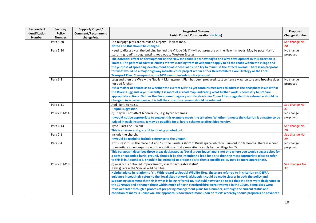| Respondent<br>Identification | Section/<br><b>Policy</b> | Support/Object/<br><b>Comment/Recommend</b> | <b>Suggested Changes</b><br><b>Parish Council Consideration (In blue)</b>                                                               | Proposed<br><b>Change Number</b> |
|------------------------------|---------------------------|---------------------------------------------|-----------------------------------------------------------------------------------------------------------------------------------------|----------------------------------|
| <b>Number</b>                | <b>Number</b>             | change/etc.                                 |                                                                                                                                         |                                  |
|                              | Para 5.20                 |                                             | Old Burgage plots are to rear of surgery - look at map.                                                                                 | See change No                    |
|                              |                           |                                             | Noted and this should be changed.                                                                                                       | 20                               |
|                              | Para 5.24                 |                                             | Need to discuss - all the building behind the Village (Hall?) will put pressure on the New Inn roads. May be potential to               | No change                        |
|                              |                           |                                             | start 'ring road' through putting road out to Western Estates.                                                                          | proposed                         |
|                              |                           |                                             | The potential effect of development on the New Inn roads is acknowledged and why development in this direction is                       |                                  |
|                              |                           |                                             | limited. The potential adverse effects of traffic arising from development apply to all the roads within the village and                |                                  |
|                              |                           |                                             | the purpose of spreading development across these roads is to try to minimise the effects overall. There is no proposal                 |                                  |
|                              |                           |                                             | for what would be a major highway infrastructure project within either Herefordshire Core Strategy or the Local                         |                                  |
|                              |                           |                                             | Transport Plan. Consequently, the NDP cannot include such a proposal.                                                                   |                                  |
|                              | Para 6.8                  |                                             | Lugg and then the Wye - the Nutrient Management Plan has been prepared. Last sentence - agriculture and housing does<br>not add further | No change<br>proposed            |
|                              |                           |                                             | It is a matter of debate as to whether the current NMP as yet contains measures to address the phosphate issue within                   |                                  |
|                              |                           |                                             | the Rivers Lugg and Wye. Currently it is more of a 'road map' indicating what further work is necessary to prepare                      |                                  |
|                              |                           |                                             | appropriate actions. Neither the Environment agency nor Herefordshire Council has suggested this reference should be                    |                                  |
|                              |                           |                                             | changed. As a consequence, it is felt the current statement should be retained.                                                         |                                  |
|                              | Para 6.11                 |                                             | Add 'light' to noise.                                                                                                                   | See change No                    |
|                              |                           |                                             | <b>Helpful suggestion</b>                                                                                                               | 27                               |
|                              | Policy PEM14              |                                             | d) They will not affect biodiversity, 'e.g. hydro schemes'                                                                              | No change                        |
|                              |                           |                                             | It would not be appropriate to suggest this example meets the criterion. Whether it meets the criterion is a matter to be               | proposed                         |
|                              |                           |                                             | judged in each instance. It may be possible for a hydro scheme to affect biodiversity.                                                  |                                  |
|                              | Para 6.13                 |                                             | Typo - last line - 'wold'                                                                                                               | See change No                    |
|                              |                           |                                             | This is an error and grateful to it being pointed out                                                                                   | 28                               |
|                              | Para 7.1                  |                                             | Include the church.                                                                                                                     | See change No                    |
|                              |                           |                                             | It would be useful to include reference to the Church.                                                                                  | 29                               |
|                              | Para 7.4                  |                                             | Not sure if this is the place but add 'But the Parish is short of Burial space which will run out in 18 months. There is a need         | No change                        |
|                              |                           |                                             | to negotiate a new expansion of the existing or find a new site (possibly by the village hall?)                                         | proposed                         |
|                              |                           |                                             | This paragraph describes those areas designated as 'Local green Space' and is not one where you would suggest sites for                 |                                  |
|                              |                           |                                             | a new or expanded burial ground. Should it be the intention to look for a site then the most appropriate place to refer                 |                                  |
|                              |                           |                                             | to this is in Appendix 2. Should it be intended to propose a site then a specific policy may be more appropriate.                       |                                  |
|                              | Policy PEM18              |                                             | d) miss out' continued improvement'; insert 'favourable status'.                                                                        | See changes No                   |
|                              |                           |                                             | New g) retain the Special Wildlife Sites                                                                                                | 32                               |
|                              |                           |                                             | Helpful advice in relation to 'c)'. With regard to Special Wildlife Sites, these are referred to in criterion e). DEFRA                 |                                  |
|                              |                           |                                             | guidance increasingly refers to the 'local sites network' although it could be made clearer in both the policy and                      |                                  |
|                              |                           |                                             | supporting statement that this is what is being referred to. It should however be noted that the sites were designated in               |                                  |
|                              |                           |                                             | the 1970/80s and although those within much of north Herefordshire were reviewed in the 1990s. Some sites were                          |                                  |
|                              |                           |                                             | reviewed later through a process of preparing management plans for a number, although the current status and                            |                                  |
|                              |                           |                                             | condition of many is unknown. The approach is now based more upon an 'alert' whereby should proposals be advanced                       |                                  |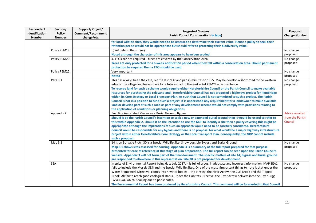| Respondent<br><b>Identification</b><br><b>Number</b> | Section/<br><b>Policy</b><br><b>Number</b> | Support/Object/<br><b>Comment/Recommend</b><br>change/etc. | <b>Suggested Changes</b><br><b>Parish Council Consideration (In blue)</b>                                                                                                                                                                                                                                                                                                                                                                                                                                                                                                                                                                                                                | Proposed<br><b>Change Number</b> |
|------------------------------------------------------|--------------------------------------------|------------------------------------------------------------|------------------------------------------------------------------------------------------------------------------------------------------------------------------------------------------------------------------------------------------------------------------------------------------------------------------------------------------------------------------------------------------------------------------------------------------------------------------------------------------------------------------------------------------------------------------------------------------------------------------------------------------------------------------------------------------|----------------------------------|
|                                                      |                                            |                                                            | for local wildlife sites, they would need to be assessed to determine their current value. Hence a policy to seek their<br>retention per-se would not be appropriate but should refer to protecting their biodiversity value.                                                                                                                                                                                                                                                                                                                                                                                                                                                            |                                  |
|                                                      | Policy PEM19                               |                                                            | b) ref behind the surgery                                                                                                                                                                                                                                                                                                                                                                                                                                                                                                                                                                                                                                                                | No change                        |
|                                                      |                                            |                                                            | Noted although the character of this area appears to have ben eroded.                                                                                                                                                                                                                                                                                                                                                                                                                                                                                                                                                                                                                    | proposed                         |
|                                                      | Policy PEM20                               |                                                            | 4. TPOs are not required - trees are covered by the Conservation Area.                                                                                                                                                                                                                                                                                                                                                                                                                                                                                                                                                                                                                   | No change                        |
|                                                      |                                            |                                                            | Trees are only protected for a 6-week notification period when they fall within a conservation area. Should permanent<br>protection be required then a TPO should be used.                                                                                                                                                                                                                                                                                                                                                                                                                                                                                                               | proposed                         |
|                                                      | Policy PEM22                               |                                                            | Very important                                                                                                                                                                                                                                                                                                                                                                                                                                                                                                                                                                                                                                                                           | No change                        |
|                                                      |                                            |                                                            | <b>Noted</b>                                                                                                                                                                                                                                                                                                                                                                                                                                                                                                                                                                                                                                                                             | proposed                         |
|                                                      | Para 9.1                                   |                                                            | This has always been the case, ref the last NDP and parish minutes to 1955. May be develop a short road to the western<br>edge of the village and leave space for a future road to the east - Ref PEM24 - last sentence.                                                                                                                                                                                                                                                                                                                                                                                                                                                                 | No change<br>proposed            |
|                                                      |                                            |                                                            | To reserve land for such a scheme would require either Herefordshire Council or the Parish Council to make available<br>resources for purchasing the relevant land. Herefordshire Council has not proposed a highways project for Pembridge<br>within its Core Strategy or Local Transport Plan. As such that Council is not committed to such a project. The Parish<br>Council is not in a position to fund such a project. It is understood any requirement for a landowner to make available<br>land or develop part of such a road as part of any development scheme would not comply with provisions relating to<br>the application of conditions or planning obligations.          |                                  |
|                                                      | Appendix 2                                 |                                                            | Enabling Associated Measures - Burial Ground; Bypass                                                                                                                                                                                                                                                                                                                                                                                                                                                                                                                                                                                                                                     | <b>Advice awaited</b>            |
|                                                      |                                            |                                                            | Should it be the Parish Council's intention to seek a new or extended burial ground then it would be useful to refer to<br>this within Appendix 2. Should it be the intention to use the NDP to identify a site then a policy covering this might be<br>appropriate although the implications of such an approach would need to be carefully considered. Herefordshire<br>Council would be responsible for any bypass and there is no proposal for what would be a major highway infrastructure<br>project within either Herefordshire Core Strategy or the Local Transport Plan. Consequently, the NDP cannot include<br>such a proposal.                                               | from the Parish<br>Council       |
|                                                      | Map 3.1                                    |                                                            | 14 is on Burgage Plots; 30 is a Special Wildlife Site; Show possible Bypass and Burial Ground                                                                                                                                                                                                                                                                                                                                                                                                                                                                                                                                                                                            | No change                        |
|                                                      |                                            |                                                            | Map 3.1 shows sites assessed for housing. Appendix 3 is a summary of the full report prepared for that purpose<br>presented for ease of reference at this stage of plan preparation. The full report can be seen upon the Parish Council's<br>website. Appendix 3 will not form part of the final document. The specific matters of site 14, bypass and burial ground<br>are responded to elsewhere in this representation. Site 30 is not proposed for development.                                                                                                                                                                                                                     | proposed                         |
|                                                      | <b>SEA</b>                                 |                                                            | In spite of Environmental Report being date July 2017, it is full of typos, inadequate and incorrect information. MAP SEA1<br>fails to include the Mosely SSSI and the Special Wildlife Sites. One of the most i9mportant things to note is that under the<br>Water Framework Directive, comes into 4 water bodies - the Pinsley, the River Arrow, the Curl Brook and the Tippets<br>Brook. All fail to reach good ecological status. Under the Habitats Directive, the River Arrow delivers into the River Lugg<br>(Wye) SAC which is failing due to phosphates.<br>The Environmental Report has been produced by Herefordshire Council. This comment will be forwarded to that Council | No change<br>proposed            |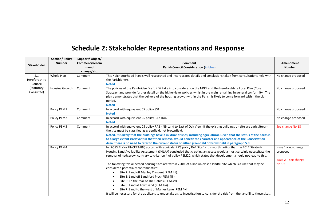## **Schedule 2: Stakeholder Representations and Response**

|                    | Section/ Policy | Support/Object/ |                                                                                                                                 |                                          |
|--------------------|-----------------|-----------------|---------------------------------------------------------------------------------------------------------------------------------|------------------------------------------|
| <b>Stakeholder</b> | <b>Number</b>   | Comment/Recom   | Comment                                                                                                                         | Amendment                                |
|                    |                 | mend            | <b>Parish Council Consideration (in blue)</b>                                                                                   | <b>Number</b>                            |
|                    |                 | change/etc.     |                                                                                                                                 |                                          |
| S.1                | Whole Plan      | Comment         | This Neighbourhood Plan is well researched and incorporates details and conclusions taken from consultations held with          | No change proposed                       |
| Herefordshire      |                 |                 | the Parishioners.                                                                                                               |                                          |
| Council            |                 |                 | <b>Noted</b>                                                                                                                    |                                          |
| (Statutory         | Housing Growth  | Comment         | The policies of the Pembridge Draft NDP take into consideration the NPPF and the Herefordshire Local Plan (Core                 | No change proposed                       |
| Consultee)         |                 |                 | Strategy) and provide further detail on the higher-level policies whilst in the main remaining in general conformity. The       |                                          |
|                    |                 |                 | plan demonstrates that the delivery of the housing growth within the Parish Is likely to come forward within the plan           |                                          |
|                    |                 |                 | period.                                                                                                                         |                                          |
|                    |                 |                 | <b>Noted</b>                                                                                                                    |                                          |
|                    | Policy PEM1     | Comment         | In accord with equivalent CS policy SS1                                                                                         | No change proposed<br>No change proposed |
|                    |                 |                 | <b>Noted</b>                                                                                                                    |                                          |
|                    | Policy PEM2     | Comment         | In accord with equivalent CS policy RA2-RA6                                                                                     |                                          |
|                    |                 |                 | <b>Noted</b>                                                                                                                    |                                          |
|                    | Policy PEM3     | Comment         | In accord with equivalent CS policy RA2 - NB Land to East of Oak View- If the existing buildings on site are agricultural-      | See change No 18                         |
|                    |                 |                 | the site must be classified as greenfield, not brownfield.                                                                      |                                          |
|                    |                 |                 | Noted. It is likely that the buildings have a mixture of uses, including agricultural. Given that the status of the barns is    |                                          |
|                    |                 |                 | to a large extent irrelevant in that their removal would benefit the character and appearance of the Conservation               |                                          |
|                    |                 |                 | Area, there is no need to refer to the current status of either greenfield or brownfield in paragraph 5.8.                      |                                          |
|                    | Policy PEM4     |                 | In (POSSIBLY or UNCERTAIN) accord with equivalent CS policy RA2 Site 1- It is worth noting that the 2012 Strategic              | Issue $1 - no$ change                    |
|                    |                 |                 | Housing Land Availability Assessment (SHLAA) concluded that creating an access would almost certainly necessitate the           | proposed.                                |
|                    |                 |                 | removal of hedgerow, contrary to criterion 4 of policy PEM20, which states that development should not lead to this.            |                                          |
|                    |                 |                 |                                                                                                                                 | Issue $2 -$ see change                   |
|                    |                 |                 | The following five allocated housing sites are within 250m of a known closed landfill site which is a use that may be           | <b>No 19</b>                             |
|                    |                 |                 | considered potentially contaminative:                                                                                           |                                          |
|                    |                 |                 | Site 2: Land off Manley Crescent (PEM 4ii).<br>$\bullet$                                                                        |                                          |
|                    |                 |                 | Site 3: Land off Sandiford Ploc (PEM 4iii).<br>$\bullet$                                                                        |                                          |
|                    |                 |                 | Site 5: To the rear of The Gables (PEM 4v).<br>$\bullet$                                                                        |                                          |
|                    |                 |                 | Site 6: Land at Townsend (PEM 4vi).<br>$\bullet$                                                                                |                                          |
|                    |                 |                 | Site 7: Land to the west of Manley Lane (PEM 4vii).                                                                             |                                          |
|                    |                 |                 | It will be necessary for the applicant to undertake a site investigation to consider the risk from the landfill to these sites. |                                          |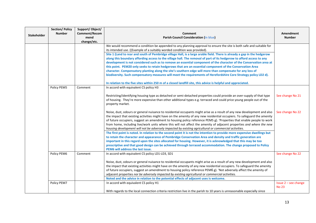|                    | <b>Section/Policy</b><br><b>Number</b> | Support/Object/<br>Comment/Recom | Comment                                                                                                                                                                                                                                                                                                                                                                                                                                                                                               | Amendment                            |
|--------------------|----------------------------------------|----------------------------------|-------------------------------------------------------------------------------------------------------------------------------------------------------------------------------------------------------------------------------------------------------------------------------------------------------------------------------------------------------------------------------------------------------------------------------------------------------------------------------------------------------|--------------------------------------|
| <b>Stakeholder</b> |                                        | mend                             | <b>Parish Council Consideration (in blue)</b>                                                                                                                                                                                                                                                                                                                                                                                                                                                         | <b>Number</b>                        |
|                    |                                        | change/etc.                      | We would recommend a condition be appended to any planning approval to ensure the site is both safe and suitable for                                                                                                                                                                                                                                                                                                                                                                                  |                                      |
|                    |                                        |                                  | its intended use. ((Example of a suitably worded condition was provided).                                                                                                                                                                                                                                                                                                                                                                                                                             |                                      |
|                    |                                        |                                  | Site 1 (Land to rear and south of Pembridge village Hall, is a large arable field. There is already a gap in the hedgerow                                                                                                                                                                                                                                                                                                                                                                             |                                      |
|                    |                                        |                                  | along this boundary affording access to the village hall. The removal of part of its hedgerow to afford access to any                                                                                                                                                                                                                                                                                                                                                                                 |                                      |
|                    |                                        |                                  | development is not considered such as to remove an essential component of the character of the Conservation area at                                                                                                                                                                                                                                                                                                                                                                                   |                                      |
|                    |                                        |                                  | this point. PEM20 only seeks to retain hedgerows that are an essential component of the Conservation Area                                                                                                                                                                                                                                                                                                                                                                                             |                                      |
|                    |                                        |                                  | character. Compensatory planting along the site's southern edge will more than compensate for any loss of                                                                                                                                                                                                                                                                                                                                                                                             |                                      |
|                    |                                        |                                  | biodiversity. Such compensatory measures will meet the requirements of Herefordshire Core Strategy policy LD2 d).                                                                                                                                                                                                                                                                                                                                                                                     |                                      |
|                    |                                        |                                  | In relation to the five sites within 250 m of a closed landfill site, this advice is helpful and appreciated.                                                                                                                                                                                                                                                                                                                                                                                         |                                      |
|                    | Policy PEM5                            | Comment                          | In accord with equivalent CS policy H3                                                                                                                                                                                                                                                                                                                                                                                                                                                                |                                      |
|                    |                                        |                                  | Restricting/identifying housing type as detached or semi-detached properties could provide an over-supply of that type                                                                                                                                                                                                                                                                                                                                                                                | See change No 21                     |
|                    |                                        |                                  | of housing. They're more expensive than other additional types e.g. terraced and could price young people out of the<br>property market.                                                                                                                                                                                                                                                                                                                                                              |                                      |
|                    |                                        |                                  | Noise, dust, odours or general nuisance to residential occupants might arise as a result of any new development and also<br>the impact that existing activities might have on the amenity of any new residential occupiers. To safeguard the amenity<br>of future occupiers, suggest an amendment to housing policy reference PEM5 g). 'Properties that enable people to work<br>from home, including live/work units where this will not affect the amenity of adjacent properties and where the new | See change No 22                     |
|                    |                                        |                                  | housing development will not be adversely impacted by existing agricultural or commercial activities.                                                                                                                                                                                                                                                                                                                                                                                                 |                                      |
|                    |                                        |                                  | The first point is noted. In relation to the second point it is not the intention to provide more expensive dwellings but                                                                                                                                                                                                                                                                                                                                                                             |                                      |
|                    |                                        |                                  | to retain the character and appearance of Pembridge Conservation Area and density and traffic generation are                                                                                                                                                                                                                                                                                                                                                                                          |                                      |
|                    |                                        |                                  | important in this regard upon the sites allocated for housing. However, it is acknowledged that this may be too                                                                                                                                                                                                                                                                                                                                                                                       |                                      |
|                    |                                        |                                  | prescriptive and that good design can be achieved through terraced accommodation. The change proposed to Policy<br>PEM6 will address the last issue.                                                                                                                                                                                                                                                                                                                                                  |                                      |
|                    | Policy PEM6                            | Comment                          | In accord with equivalent CS policy LD1-LD3, SD1                                                                                                                                                                                                                                                                                                                                                                                                                                                      | See change No 22                     |
|                    |                                        |                                  |                                                                                                                                                                                                                                                                                                                                                                                                                                                                                                       |                                      |
|                    |                                        |                                  | Noise, dust, odours or general nuisance to residential occupants might arise as a result of any new development and also<br>the impact that existing activities might have on the amenity of any new residential occupiers. To safeguard the amenity                                                                                                                                                                                                                                                  |                                      |
|                    |                                        |                                  | of future occupiers, suggest an amendment to housing policy reference PEM6 g). 'Not adversely affect the amenity of                                                                                                                                                                                                                                                                                                                                                                                   |                                      |
|                    |                                        |                                  | adjacent properties nor be adversely impacted by existing agricultural or commercial activities.                                                                                                                                                                                                                                                                                                                                                                                                      |                                      |
|                    |                                        |                                  | Noted and the advice in relation to the potential effects of adjacent uses is welcome.                                                                                                                                                                                                                                                                                                                                                                                                                |                                      |
|                    | Policy PEM7                            |                                  | In accord with equivalent CS policy H1                                                                                                                                                                                                                                                                                                                                                                                                                                                                | Issue 2 - see change<br><b>No 23</b> |
|                    |                                        |                                  | With regards to the local connection criteria restriction live in the parish to 10 years is unreasonable especially since                                                                                                                                                                                                                                                                                                                                                                             |                                      |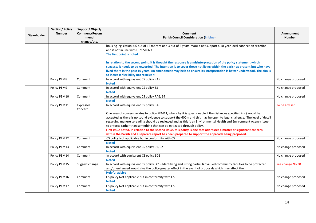| <b>Stakeholder</b> | <b>Section/Policy</b><br><b>Number</b> | Support/Object/<br>Comment/Recom<br>mend<br>change/etc. | Comment<br><b>Parish Council Consideration (in blue)</b>                                                                                                                                                                                                                                                                                                            | Amendment<br><b>Number</b> |
|--------------------|----------------------------------------|---------------------------------------------------------|---------------------------------------------------------------------------------------------------------------------------------------------------------------------------------------------------------------------------------------------------------------------------------------------------------------------------------------------------------------------|----------------------------|
|                    |                                        |                                                         | housing legislation is 6 out of 12 months and 3 out of 5 years. Would not support a 10-year local connection criterion<br>and is not in line with HC's S106's.                                                                                                                                                                                                      |                            |
|                    |                                        |                                                         | The first point is noted                                                                                                                                                                                                                                                                                                                                            |                            |
|                    |                                        |                                                         | In relation to the second point, it is thought the response is a misinterpretation of the policy statement which<br>suggests it needs to be reworded. The intention is to cover those not living within the parish at present but who have<br>lived there in the past 10 years. An amendment may help to ensure its interpretation is better understood. The aim is |                            |
|                    |                                        |                                                         | to increase flexibility not restrict it.                                                                                                                                                                                                                                                                                                                            |                            |
|                    | Policy PEM8                            | Comment                                                 | In accord with equivalent CS policy RA5<br><b>Noted</b>                                                                                                                                                                                                                                                                                                             | No change proposed         |
|                    | Policy PEM9                            | Comment                                                 | In accord with equivalent CS policy E3<br><b>Noted</b>                                                                                                                                                                                                                                                                                                              | No change proposed         |
|                    | Policy PEM10                           | Comment                                                 | In accord with equivalent CS policy RA6, E4<br><b>Noted</b>                                                                                                                                                                                                                                                                                                         | No change proposed         |
|                    | Policy PEM11                           | Expresses<br>Concern                                    | In accord with equivalent CS policy RA6.                                                                                                                                                                                                                                                                                                                            | To be advised.             |
|                    |                                        |                                                         | One area of concern relates to policy PEM11, where by it is questionable if the distances specified in c) would be<br>accepted as there is no sound evidence to support the 600m and this may be open to legal challenge. The level of detail<br>regarding manure spreading should be reviewed and as this is an Environmental Health and Environment Agency issue  |                            |
|                    |                                        |                                                         | to enforce rather than something that can be mitigated through policy.<br>First issue noted. In relation to the second issue, this policy is one that addresses a matter of significant concern<br>within the Parish and a separate report has been prepared to support the approach being proposed.                                                                |                            |
|                    | Policy PEM12                           | Comment                                                 | CS policy Not applicable but in conformity with CS<br><b>Noted</b>                                                                                                                                                                                                                                                                                                  | No change proposed         |
|                    | Policy PEM13                           | Comment                                                 | In accord with equivalent CS policy E1, E2<br><b>Noted</b>                                                                                                                                                                                                                                                                                                          | No change proposed         |
|                    | Policy PEM14                           | Comment                                                 | In accord with equivalent CS policy SD2<br><b>Noted</b>                                                                                                                                                                                                                                                                                                             | No change proposed         |
|                    | Policy PEM15                           | Suggest change                                          | In accord with equivalent CS policy SC1 - Identifying and listing particular valued community facilities to be protected<br>and/or enhanced would give the policy greater effect in the event of proposals which may affect them.<br><b>Helpful advice</b>                                                                                                          | See change No 30           |
|                    | Policy PEM16                           | Comment                                                 | CS policy Not applicable but in conformity with CS<br><b>Noted</b>                                                                                                                                                                                                                                                                                                  | No change proposed         |
|                    | Policy PEM17                           | Comment                                                 | CS policy Not applicable but in conformity with CS<br><b>Noted</b>                                                                                                                                                                                                                                                                                                  | No change proposed         |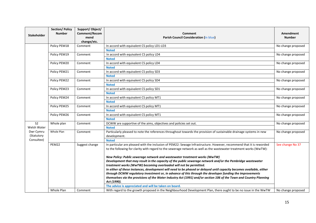| <b>Stakeholder</b>      | <b>Section/Policy</b><br><b>Number</b> | Support/Object/<br>Comment/Recom<br>mend<br>change/etc. | Comment<br><b>Parish Council Consideration (in blue)</b>                                                                                                                                                                                   | Amendment<br><b>Number</b> |
|-------------------------|----------------------------------------|---------------------------------------------------------|--------------------------------------------------------------------------------------------------------------------------------------------------------------------------------------------------------------------------------------------|----------------------------|
|                         | Policy PEM18                           | Comment                                                 | In accord with equivalent CS policy LD1-LD3                                                                                                                                                                                                | No change proposed         |
|                         |                                        |                                                         | <b>Noted</b>                                                                                                                                                                                                                               |                            |
|                         | Policy PEM19                           | Comment                                                 | In accord with equivalent CS policy LD4                                                                                                                                                                                                    | No change proposed         |
|                         |                                        |                                                         | <b>Noted</b>                                                                                                                                                                                                                               |                            |
|                         | Policy PEM20                           | Comment                                                 | In accord with equivalent CS policy LD4                                                                                                                                                                                                    | No change proposed         |
|                         |                                        |                                                         | <b>Noted</b>                                                                                                                                                                                                                               |                            |
|                         | Policy PEM21                           | Comment                                                 | In accord with equivalent CS policy SD3                                                                                                                                                                                                    | No change proposed         |
|                         |                                        |                                                         | <b>Noted</b>                                                                                                                                                                                                                               |                            |
|                         | Policy PEM22                           | Comment                                                 | In accord with equivalent CS policy SD4                                                                                                                                                                                                    | No change proposed         |
|                         |                                        |                                                         | <b>Noted</b>                                                                                                                                                                                                                               |                            |
|                         | Policy PEM23                           | Comment                                                 | In accord with equivalent CS policy SD1                                                                                                                                                                                                    | No change proposed         |
|                         |                                        |                                                         | <b>Noted</b>                                                                                                                                                                                                                               |                            |
|                         | Policy PEM24                           | Comment                                                 | In accord with equivalent CS policy MT1                                                                                                                                                                                                    | No change proposed         |
|                         |                                        |                                                         | <b>Noted</b>                                                                                                                                                                                                                               |                            |
|                         | Policy PEM25                           | Comment                                                 | In accord with equivalent CS policy MT1                                                                                                                                                                                                    | No change proposed         |
|                         |                                        |                                                         | <b>Noted</b>                                                                                                                                                                                                                               |                            |
|                         | Policy PEM26                           | Comment                                                 | In accord with equivalent CS policy MT1                                                                                                                                                                                                    | No change proposed         |
|                         |                                        |                                                         | <b>Noted</b>                                                                                                                                                                                                                               |                            |
| S <sub>2</sub>          | Whole plan                             | Comment                                                 | DCWW are supportive of the aims, objectives and policies set out.                                                                                                                                                                          | No change proposed         |
| Welsh Water             |                                        |                                                         | <b>Noted</b>                                                                                                                                                                                                                               |                            |
| Dwr Cymru<br>(Statutory | Whole Plan                             | Comment                                                 | Particularly pleased to note the references throughout towards the provision of sustainable drainage systems in new<br>development.                                                                                                        | No change proposed         |
| Consultee)              |                                        |                                                         | <b>Noted</b>                                                                                                                                                                                                                               |                            |
|                         | PEM22                                  | Suggest change                                          | In particular are pleased with the inclusion of PEM22: Sewage Infrastructure. However, recommend that it is reworded<br>to the following for clarity with regard to the sewerage network as well as the wastewater treatment works (WwTW): | See change No 37           |
|                         |                                        |                                                         | New Policy: Public sewerage network and wastewater treatment works (WwTW)                                                                                                                                                                  |                            |
|                         |                                        |                                                         | Development that may result in the capacity of the public sewerage network and/or the Pembridge wastewater                                                                                                                                 |                            |
|                         |                                        |                                                         | treatment works (WwTW) becoming overloaded will not be permitted.                                                                                                                                                                          |                            |
|                         |                                        |                                                         | In either of these instances, development will need to be phased or delayed until capacity becomes available, either                                                                                                                       |                            |
|                         |                                        |                                                         | through DCWW regulatory investment or, in advance of this through the developer funding the improvements                                                                                                                                   |                            |
|                         |                                        |                                                         | themselves via the provisions of the Water Industry Act (1991) and/or section 106 of the Town and Country Planning<br>Act (1990).                                                                                                          |                            |
|                         |                                        |                                                         | The advice is appreciated and will be taken on board.                                                                                                                                                                                      |                            |
|                         | Whole Plan                             | Comment                                                 | With regard to the growth proposed in the Neighbourhood Development Plan, there ought to be no issue in the WwTW                                                                                                                           | No change proposed         |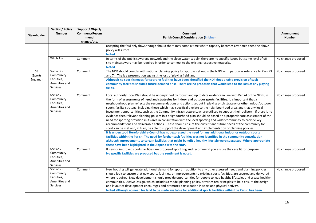| <b>Stakeholder</b>                    | <b>Section/Policy</b><br><b>Number</b>                                      | Support/Object/<br>Comment/Recom<br>mend<br>change/etc. | <b>Comment</b><br><b>Parish Council Consideration (in blue)</b>                                                                                                                                                                                                                                                                                                                                                                                                                                                                                                                                                                                                                                                                                                                                                                                                                                                                                                                                                                                                                                                                                                                                                                                                                                                                                                                                                                                                                                                                     | Amendment<br><b>Number</b> |
|---------------------------------------|-----------------------------------------------------------------------------|---------------------------------------------------------|-------------------------------------------------------------------------------------------------------------------------------------------------------------------------------------------------------------------------------------------------------------------------------------------------------------------------------------------------------------------------------------------------------------------------------------------------------------------------------------------------------------------------------------------------------------------------------------------------------------------------------------------------------------------------------------------------------------------------------------------------------------------------------------------------------------------------------------------------------------------------------------------------------------------------------------------------------------------------------------------------------------------------------------------------------------------------------------------------------------------------------------------------------------------------------------------------------------------------------------------------------------------------------------------------------------------------------------------------------------------------------------------------------------------------------------------------------------------------------------------------------------------------------------|----------------------------|
|                                       |                                                                             |                                                         | accepting the foul only flows though should there may come a time where capacity becomes restricted then the above<br>policy will suffice.<br><b>Noted</b>                                                                                                                                                                                                                                                                                                                                                                                                                                                                                                                                                                                                                                                                                                                                                                                                                                                                                                                                                                                                                                                                                                                                                                                                                                                                                                                                                                          |                            |
|                                       | Whole Plan                                                                  | Comment                                                 | In terms of the public sewerage network and the clean water supply, there are no specific issues but some level of off-<br>site mains/sewers may be required in order to connect to the existing respective networks.<br><b>Noted</b>                                                                                                                                                                                                                                                                                                                                                                                                                                                                                                                                                                                                                                                                                                                                                                                                                                                                                                                                                                                                                                                                                                                                                                                                                                                                                               | No change proposed         |
| S <sub>3</sub><br>(Sports<br>England) | Section 7 -<br>Community<br>Facilities,<br>Amenities and<br><b>Services</b> | Comment                                                 | The NDP should comply with national planning policy for sport as set out in the NPPF with particular reference to Pars 73<br>and 74. The is a presumption against the loss of playing field land.<br>Although no specific needs for sporting facilities have been identified the NDP does enable provision of such<br>community facilities should a future demand arise. There are no proposals that would lead to the loss of any playing<br>fields.                                                                                                                                                                                                                                                                                                                                                                                                                                                                                                                                                                                                                                                                                                                                                                                                                                                                                                                                                                                                                                                                               | No change proposed         |
|                                       | Section 7 -<br>Community<br>Facilities,<br>Amenities and<br><b>Services</b> | Comment                                                 | Local authority Local Plan should be underpinned by robust and up to date evidence in line with Par 74 of the NPPF, in<br>the form of assessments of need and strategies for indoor and outdoor sports facilities. It is important that a<br>neighbourhood plan reflects the recommendations and actions set out in playing pitch strategy or other indoor/outdoor<br>sports facility strategy, including those which may specifically relate to the neighbourhood area, and that any local<br>investment opportunities, such as the Community Infrastructure Levy, are utilised to support their delivery. If there is no<br>evidence then relevant planning policies in a neighbourhood plan should be based on a proportionate assessment of the<br>need for sporting provision in its area in consultation with the local sporting and wider community to provide key<br>recommendations and deliverable actions. These should ensure the current and future needs of the community for<br>sport can be met and, in turn, be able to support the development and implementation of planning policies<br>It is understood Herefordshire Council has not expressed the need for any additional indoor or outdoor sports<br>facilities within the Parish. The need for further such facilities was not identified in the community consultation<br>although improvements to certain facilities that might benefit a healthy lifestyle were suggested. Where appropriate<br>these have been highlighted in the Appendix to the NDP. | No change proposed         |
|                                       | Section 7 -<br>Community<br>Facilities,<br>Amenities and<br><b>Services</b> | Comment                                                 | If new or improved sports facilities are proposed Sport England recommend you ensure they are fit for purpose<br>No specific facilities are proposed but the sentiment is noted.                                                                                                                                                                                                                                                                                                                                                                                                                                                                                                                                                                                                                                                                                                                                                                                                                                                                                                                                                                                                                                                                                                                                                                                                                                                                                                                                                    | No change proposed         |
|                                       | Section 7 -<br>Community<br>Facilities,<br>Amenities and<br><b>Services</b> | Comment                                                 | New housing will generate additional demand for sport in addition to any other assessed needs and planning policies<br>should look to ensure that new sports facilities, or improvements to existing sports facilities, are secured and delivered<br>where required. New development should provide opportunities for people to lead healthy lifestyles and create healthy<br>communities. Active Design, which includes a model planning policy, provides ten principles to help ensure the design<br>and layout of development encourages and promotes participation in sport and physical activity.<br>Noted although no need for land to be made available for additional sports facilities within the Parish has been                                                                                                                                                                                                                                                                                                                                                                                                                                                                                                                                                                                                                                                                                                                                                                                                          | No change proposed         |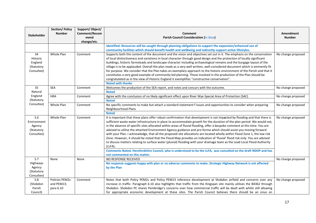| <b>Stakeholder</b>                                                | <b>Section/Policy</b><br><b>Number</b>    | Support/Object/<br>Comment/Recom<br>mend<br>change/etc. | Comment<br><b>Parish Council Consideration (in blue)</b>                                                                                                                                                                                                                                                                                                                                                                                                                                                                                                                                                                                                                                                                                                                                                                                                                                                                                                                                                                                                       | <b>Amendment</b><br><b>Number</b> |
|-------------------------------------------------------------------|-------------------------------------------|---------------------------------------------------------|----------------------------------------------------------------------------------------------------------------------------------------------------------------------------------------------------------------------------------------------------------------------------------------------------------------------------------------------------------------------------------------------------------------------------------------------------------------------------------------------------------------------------------------------------------------------------------------------------------------------------------------------------------------------------------------------------------------------------------------------------------------------------------------------------------------------------------------------------------------------------------------------------------------------------------------------------------------------------------------------------------------------------------------------------------------|-----------------------------------|
|                                                                   |                                           |                                                         | identified. Resources will be sought through planning obligations to support the expansion/enhanced use of<br>community facilities which should benefit health and wellbeing and indirectly support active lifestyles.                                                                                                                                                                                                                                                                                                                                                                                                                                                                                                                                                                                                                                                                                                                                                                                                                                         |                                   |
| S <sub>4</sub><br>Historic<br>England<br>(Statutory<br>Consultee) | Whole Plan                                | Comment                                                 | Supports both the content of the document and the vision and objectives set out in it. The emphasis on the conservation<br>of local distinctiveness and variations in local character through good design and the protection of locally significant<br>buildings, historic farmsteads and landscape character including archaeological remains and the burgage layout of the<br>village is to be applauded. Overall the plan reads as a very well written, well-considered document which is eminently fit<br>for purpose. We consider that the Plan takes an exemplary approach to the historic environment of the Parish and that it<br>constitutes a very good example of community led planning. Those involved in the production of the Plan should be<br>congratulated as in the view of Historic England it exemplifies "constructive conservation".<br><b>Noted with thanks</b>                                                                                                                                                                        | No change proposed                |
| S <sub>5</sub><br>Natural                                         | <b>SEA</b>                                | Comment                                                 | Welcomes the production of the SEA report, and notes and concurs with the outcome.<br><b>Noted</b>                                                                                                                                                                                                                                                                                                                                                                                                                                                                                                                                                                                                                                                                                                                                                                                                                                                                                                                                                             | No change proposed                |
| England<br>(Statutory                                             | <b>HRA</b>                                | Comment                                                 | Agree with the conclusion of no likely significant effect upon River Wye Special Area of Protection (SAC)<br><b>Noted</b>                                                                                                                                                                                                                                                                                                                                                                                                                                                                                                                                                                                                                                                                                                                                                                                                                                                                                                                                      | No change proposed                |
| Consultee)                                                        | Whole Plan                                | Comment                                                 | No specific comments to make but attach a standard statement f issues and opportunities to consider when preparing<br>Neighbourhood Plans<br><b>Noted</b>                                                                                                                                                                                                                                                                                                                                                                                                                                                                                                                                                                                                                                                                                                                                                                                                                                                                                                      | No change proposed                |
| S.6<br>Environment<br>Agency<br>(Statutory<br>Consultee)          | Whole Plan                                | Comment                                                 | It is important that these plans offer robust confirmation that development is not impacted by flooding and that there is<br>sufficient waste water infrastructure in place to accommodate growth for the duration of the plan period. We would not,<br>in the absence of specific sites allocated within areas of fluvial flooding, offer a bespoke comment at this time. You are<br>advised to utilise the attached Environment Agency guidance and pro-forma which should assist you moving forward<br>with your Plan. I acknowledge, that all the proposed site allocations are located wholly within Flood Zone 1, the low risk<br>Zone. However, it should be noted that the Flood Map provides an indication of 'fluvial' flood risk only. You are advised<br>to discuss matters relating to surface water (pluvial) flooding with your drainage team as the Lead Local Flood Authority<br>(LLFA).<br>Comments Noted. Herefordshire Council, who is understood to be the LLFA, was consulted on the draft NDOP and has<br>not commented on this matter. | No change proposed                |
| S.7<br>Highways<br>Agency<br>(Statutory<br>Consultee)             | None                                      | None                                                    | NO RESPONSE RECEIVED<br>No response suggests happy with plan or no adverse comments to make. Strategic Highway Network is not affected<br>by the Plan                                                                                                                                                                                                                                                                                                                                                                                                                                                                                                                                                                                                                                                                                                                                                                                                                                                                                                          | No change proposed                |
| $S.8\,$<br>(Shobdon<br>Parish<br>Council)                         | Policies PEM2c<br>and PEM13;<br>para 6.10 | Comment                                                 | Notes that both Policy PEM2c and Policy PEM13 reference development at Shobdon airfield and concerns over any<br>increase in traffic. Paragraph 6.10 also highlights that traffic from the Kingspan site mainly utilises the B4362 through<br>Shobdon. Shobdon PC shares Pembridge's concerns over how commercial traffic will be dealt with whilst still allowing<br>for appropriate economic development at these sites. The Parish Council believes there should be an onus on                                                                                                                                                                                                                                                                                                                                                                                                                                                                                                                                                                              | No change proposed                |